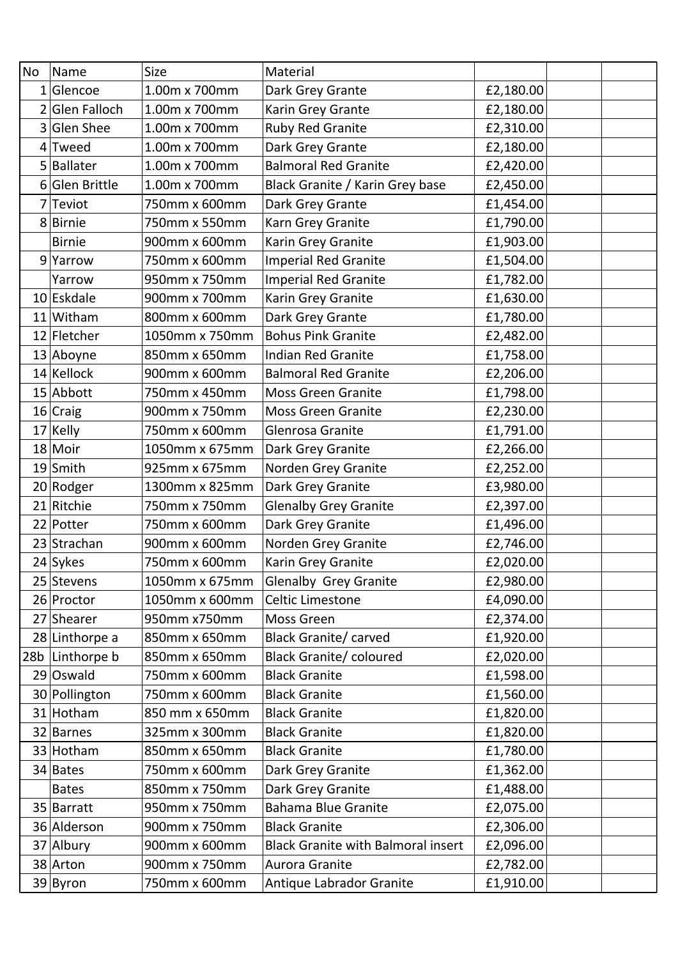| <b>No</b> | Name             | <b>Size</b>    | Material                                  |           |
|-----------|------------------|----------------|-------------------------------------------|-----------|
|           | $1 G$ encoe      | 1.00m x 700mm  | Dark Grey Grante                          | £2,180.00 |
|           | Glen Falloch     | 1.00m x 700mm  | Karin Grey Grante                         | £2,180.00 |
| 3         | <b>Glen Shee</b> | 1.00m x 700mm  | Ruby Red Granite                          | £2,310.00 |
| 4         | Tweed            | 1.00m x 700mm  | Dark Grey Grante                          | £2,180.00 |
|           | 5 Ballater       | 1.00m x 700mm  | <b>Balmoral Red Granite</b>               | £2,420.00 |
|           | 6 Glen Brittle   | 1.00m x 700mm  | Black Granite / Karin Grey base           | £2,450.00 |
|           | $7$ Teviot       | 750mm x 600mm  | Dark Grey Grante                          | £1,454.00 |
|           | 8 Birnie         | 750mm x 550mm  | Karn Grey Granite                         | £1,790.00 |
|           | <b>Birnie</b>    | 900mm x 600mm  | Karin Grey Granite                        | £1,903.00 |
|           | $9$ Yarrow       | 750mm x 600mm  | <b>Imperial Red Granite</b>               | £1,504.00 |
|           | Yarrow           | 950mm x 750mm  | <b>Imperial Red Granite</b>               | £1,782.00 |
|           | 10 Eskdale       | 900mm x 700mm  | Karin Grey Granite                        | £1,630.00 |
|           | 11 Witham        | 800mm x 600mm  | Dark Grey Grante                          | £1,780.00 |
|           | 12 Fletcher      | 1050mm x 750mm | <b>Bohus Pink Granite</b>                 | £2,482.00 |
|           | 13 Aboyne        | 850mm x 650mm  | <b>Indian Red Granite</b>                 | £1,758.00 |
|           | 14 Kellock       | 900mm x 600mm  | <b>Balmoral Red Granite</b>               | £2,206.00 |
|           | 15 Abbott        | 750mm x 450mm  | <b>Moss Green Granite</b>                 | £1,798.00 |
|           | $16$ Craig       | 900mm x 750mm  | <b>Moss Green Granite</b>                 | £2,230.00 |
|           | 17 Kelly         | 750mm x 600mm  | Glenrosa Granite                          | £1,791.00 |
|           | 18 Moir          | 1050mm x 675mm | Dark Grey Granite                         | £2,266.00 |
|           | 19 Smith         | 925mm x 675mm  | Norden Grey Granite                       | £2,252.00 |
|           | 20 Rodger        | 1300mm x 825mm | Dark Grey Granite                         | £3,980.00 |
|           | 21 Ritchie       | 750mm x 750mm  | <b>Glenalby Grey Granite</b>              | £2,397.00 |
|           | 22 Potter        | 750mm x 600mm  | Dark Grey Granite                         | £1,496.00 |
|           | 23 Strachan      | 900mm x 600mm  | Norden Grey Granite                       | £2,746.00 |
|           | 24 Sykes         | 750mm x 600mm  | Karin Grey Granite                        | £2,020.00 |
|           | 25 Stevens       | 1050mm x 675mm | <b>Glenalby Grey Granite</b>              | £2,980.00 |
|           | 26 Proctor       | 1050mm x 600mm | Celtic Limestone                          | £4,090.00 |
|           | 27 Shearer       | 950mm x750mm   | Moss Green                                | £2,374.00 |
|           | 28 Linthorpe a   | 850mm x 650mm  | <b>Black Granite/ carved</b>              | £1,920.00 |
|           | 28b Linthorpe b  | 850mm x 650mm  | <b>Black Granite/ coloured</b>            | £2,020.00 |
|           | 29 Oswald        | 750mm x 600mm  | <b>Black Granite</b>                      | £1,598.00 |
|           | 30 Pollington    | 750mm x 600mm  | <b>Black Granite</b>                      | £1,560.00 |
|           | 31 Hotham        | 850 mm x 650mm | <b>Black Granite</b>                      | £1,820.00 |
|           | 32 Barnes        | 325mm x 300mm  | <b>Black Granite</b>                      | £1,820.00 |
|           | 33 Hotham        | 850mm x 650mm  | <b>Black Granite</b>                      | £1,780.00 |
|           | 34 Bates         | 750mm x 600mm  | Dark Grey Granite                         | £1,362.00 |
|           | <b>Bates</b>     | 850mm x 750mm  | Dark Grey Granite                         | £1,488.00 |
|           | 35 Barratt       | 950mm x 750mm  | <b>Bahama Blue Granite</b>                | £2,075.00 |
|           | 36 Alderson      | 900mm x 750mm  | <b>Black Granite</b>                      | £2,306.00 |
|           | 37 Albury        | 900mm x 600mm  | <b>Black Granite with Balmoral insert</b> | £2,096.00 |
|           | 38 Arton         | 900mm x 750mm  | Aurora Granite                            | £2,782.00 |
|           | 39 Byron         | 750mm x 600mm  | Antique Labrador Granite                  | £1,910.00 |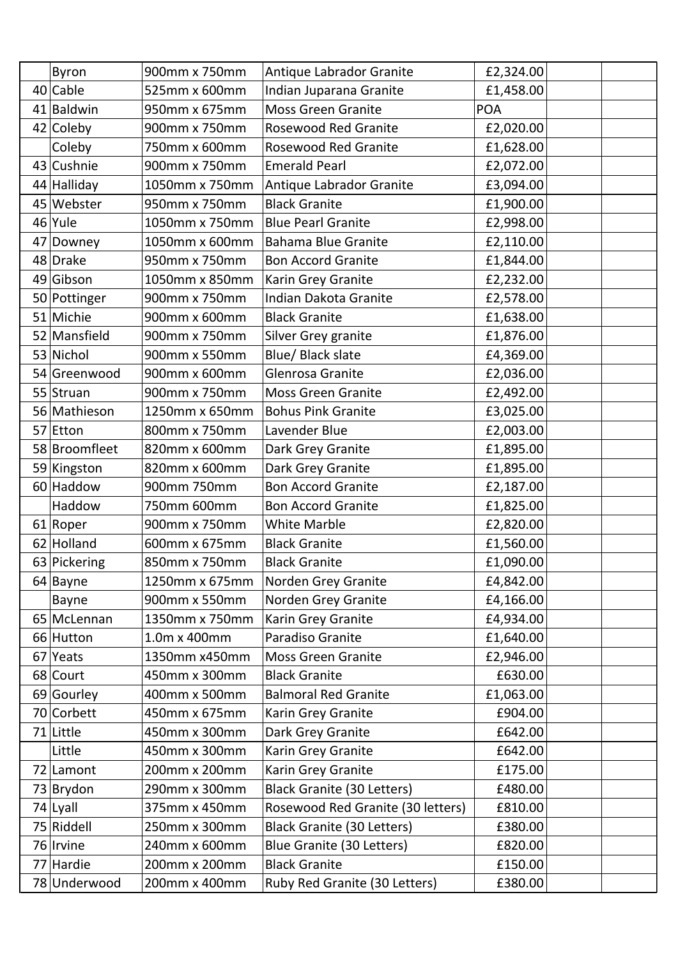| Byron         | 900mm x 750mm  | Antique Labrador Granite          | £2,324.00  |
|---------------|----------------|-----------------------------------|------------|
| $40$ Cable    | 525mm x 600mm  | Indian Juparana Granite           | £1,458.00  |
| 41 Baldwin    | 950mm x 675mm  | <b>Moss Green Granite</b>         | <b>POA</b> |
| 42 Coleby     | 900mm x 750mm  | <b>Rosewood Red Granite</b>       | £2,020.00  |
| Coleby        | 750mm x 600mm  | <b>Rosewood Red Granite</b>       | £1,628.00  |
| 43 Cushnie    | 900mm x 750mm  | <b>Emerald Pearl</b>              | £2,072.00  |
| 44 Halliday   | 1050mm x 750mm | Antique Labrador Granite          | £3,094.00  |
| 45 Webster    | 950mm x 750mm  | <b>Black Granite</b>              | £1,900.00  |
| 46 Yule       | 1050mm x 750mm | <b>Blue Pearl Granite</b>         | £2,998.00  |
| 47 Downey     | 1050mm x 600mm | <b>Bahama Blue Granite</b>        | £2,110.00  |
| 48 Drake      | 950mm x 750mm  | <b>Bon Accord Granite</b>         | £1,844.00  |
| 49 Gibson     | 1050mm x 850mm | Karin Grey Granite                | £2,232.00  |
| 50 Pottinger  | 900mm x 750mm  | <b>Indian Dakota Granite</b>      | £2,578.00  |
| 51 Michie     | 900mm x 600mm  | <b>Black Granite</b>              | £1,638.00  |
| 52 Mansfield  | 900mm x 750mm  | Silver Grey granite               | £1,876.00  |
| 53 Nichol     | 900mm x 550mm  | Blue/ Black slate                 | £4,369.00  |
| 54 Greenwood  | 900mm x 600mm  | Glenrosa Granite                  | £2,036.00  |
| 55 Struan     | 900mm x 750mm  | <b>Moss Green Granite</b>         | £2,492.00  |
| 56 Mathieson  | 1250mm x 650mm | <b>Bohus Pink Granite</b>         | £3,025.00  |
| 57 Etton      | 800mm x 750mm  | Lavender Blue                     | £2,003.00  |
| 58 Broomfleet | 820mm x 600mm  | Dark Grey Granite                 | £1,895.00  |
| 59 Kingston   | 820mm x 600mm  | Dark Grey Granite                 | £1,895.00  |
| 60 Haddow     | 900mm 750mm    | <b>Bon Accord Granite</b>         | £2,187.00  |
| Haddow        | 750mm 600mm    | <b>Bon Accord Granite</b>         | £1,825.00  |
| 61 Roper      | 900mm x 750mm  | <b>White Marble</b>               | £2,820.00  |
| 62 Holland    | 600mm x 675mm  | <b>Black Granite</b>              | £1,560.00  |
| 63 Pickering  | 850mm x 750mm  | <b>Black Granite</b>              | £1,090.00  |
| 64 Bayne      | 1250mm x 675mm | Norden Grey Granite               | £4,842.00  |
| Bayne         | 900mm x 550mm  | Norden Grey Granite               | £4,166.00  |
| 65 McLennan   | 1350mm x 750mm | Karin Grey Granite                | £4,934.00  |
| 66 Hutton     | 1.0m x 400mm   | Paradiso Granite                  | £1,640.00  |
| 67 Yeats      | 1350mm x450mm  | <b>Moss Green Granite</b>         | £2,946.00  |
| 68 Court      | 450mm x 300mm  | <b>Black Granite</b>              | £630.00    |
| 69 Gourley    | 400mm x 500mm  | <b>Balmoral Red Granite</b>       | £1,063.00  |
| 70 Corbett    | 450mm x 675mm  | Karin Grey Granite                | £904.00    |
| 71 Little     | 450mm x 300mm  | Dark Grey Granite                 | £642.00    |
| Little        | 450mm x 300mm  | Karin Grey Granite                | £642.00    |
| 72 Lamont     | 200mm x 200mm  | Karin Grey Granite                | £175.00    |
| 73 Brydon     | 290mm x 300mm  | <b>Black Granite (30 Letters)</b> | £480.00    |
| 74 Lyall      | 375mm x 450mm  | Rosewood Red Granite (30 letters) | £810.00    |
| 75 Riddell    | 250mm x 300mm  | <b>Black Granite (30 Letters)</b> | £380.00    |
| 76 Irvine     | 240mm x 600mm  | Blue Granite (30 Letters)         | £820.00    |
| 77 Hardie     | 200mm x 200mm  | <b>Black Granite</b>              | £150.00    |
| 78 Underwood  | 200mm x 400mm  | Ruby Red Granite (30 Letters)     | £380.00    |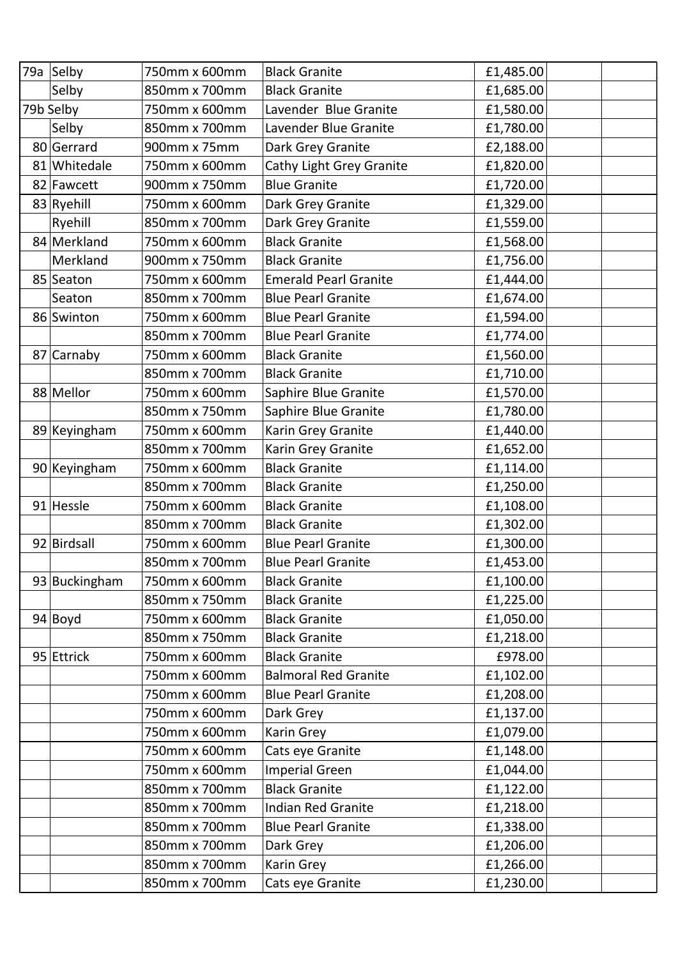| 79a Selby     | 750mm x 600mm | <b>Black Granite</b>         | £1,485.00 |
|---------------|---------------|------------------------------|-----------|
| Selby         | 850mm x 700mm | <b>Black Granite</b>         | £1,685.00 |
| 79b Selby     | 750mm x 600mm | Lavender Blue Granite        | £1,580.00 |
| Selby         | 850mm x 700mm | Lavender Blue Granite        | £1,780.00 |
| 80 Gerrard    | 900mm x 75mm  | Dark Grey Granite            | £2,188.00 |
| 81 Whitedale  | 750mm x 600mm | Cathy Light Grey Granite     | £1,820.00 |
| 82 Fawcett    | 900mm x 750mm | <b>Blue Granite</b>          | £1,720.00 |
| 83 Ryehill    | 750mm x 600mm | Dark Grey Granite            | £1,329.00 |
| Ryehill       | 850mm x 700mm | Dark Grey Granite            | £1,559.00 |
| 84 Merkland   | 750mm x 600mm | <b>Black Granite</b>         | £1,568.00 |
| Merkland      | 900mm x 750mm | <b>Black Granite</b>         | £1,756.00 |
| 85 Seaton     | 750mm x 600mm | <b>Emerald Pearl Granite</b> | £1,444.00 |
| Seaton        | 850mm x 700mm | <b>Blue Pearl Granite</b>    | £1,674.00 |
| 86 Swinton    | 750mm x 600mm | <b>Blue Pearl Granite</b>    | £1,594.00 |
|               | 850mm x 700mm | <b>Blue Pearl Granite</b>    | £1,774.00 |
| 87 Carnaby    | 750mm x 600mm | <b>Black Granite</b>         | £1,560.00 |
|               | 850mm x 700mm | <b>Black Granite</b>         | £1,710.00 |
| 88 Mellor     | 750mm x 600mm | Saphire Blue Granite         | £1,570.00 |
|               | 850mm x 750mm | Saphire Blue Granite         | £1,780.00 |
| 89 Keyingham  | 750mm x 600mm | Karin Grey Granite           | £1,440.00 |
|               | 850mm x 700mm | Karin Grey Granite           | £1,652.00 |
| 90 Keyingham  | 750mm x 600mm | <b>Black Granite</b>         | £1,114.00 |
|               | 850mm x 700mm | <b>Black Granite</b>         | £1,250.00 |
| 91 Hessle     | 750mm x 600mm | <b>Black Granite</b>         | £1,108.00 |
|               | 850mm x 700mm | <b>Black Granite</b>         | £1,302.00 |
| 92 Birdsall   | 750mm x 600mm | <b>Blue Pearl Granite</b>    | £1,300.00 |
|               | 850mm x 700mm | <b>Blue Pearl Granite</b>    | £1,453.00 |
| 93 Buckingham | 750mm x 600mm | <b>Black Granite</b>         | £1,100.00 |
|               | 850mm x 750mm | <b>Black Granite</b>         | £1,225.00 |
| $94$ Boyd     | 750mm x 600mm | <b>Black Granite</b>         | £1,050.00 |
|               | 850mm x 750mm | <b>Black Granite</b>         | £1,218.00 |
| 95 Ettrick    | 750mm x 600mm | <b>Black Granite</b>         | £978.00   |
|               | 750mm x 600mm | <b>Balmoral Red Granite</b>  | £1,102.00 |
|               | 750mm x 600mm | <b>Blue Pearl Granite</b>    | £1,208.00 |
|               | 750mm x 600mm | Dark Grey                    | £1,137.00 |
|               | 750mm x 600mm | Karin Grey                   | £1,079.00 |
|               | 750mm x 600mm | Cats eye Granite             | £1,148.00 |
|               | 750mm x 600mm | <b>Imperial Green</b>        | £1,044.00 |
|               | 850mm x 700mm | <b>Black Granite</b>         | £1,122.00 |
|               | 850mm x 700mm | <b>Indian Red Granite</b>    | £1,218.00 |
|               | 850mm x 700mm | <b>Blue Pearl Granite</b>    | £1,338.00 |
|               | 850mm x 700mm | Dark Grey                    | £1,206.00 |
|               | 850mm x 700mm | Karin Grey                   | £1,266.00 |
|               | 850mm x 700mm | Cats eye Granite             | £1,230.00 |
|               |               |                              |           |